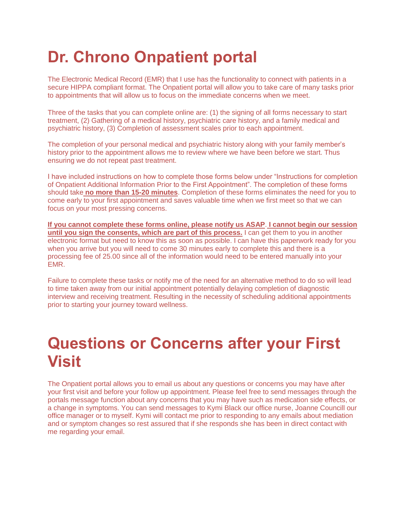# **Dr. Chrono Onpatient portal**

The Electronic Medical Record (EMR) that I use has the functionality to connect with patients in a secure HIPPA compliant format. The Onpatient portal will allow you to take care of many tasks prior to appointments that will allow us to focus on the immediate concerns when we meet.

Three of the tasks that you can complete online are: (1) the signing of all forms necessary to start treatment, (2) Gathering of a medical history, psychiatric care history, and a family medical and psychiatric history, (3) Completion of assessment scales prior to each appointment.

The completion of your personal medical and psychiatric history along with your family member's history prior to the appointment allows me to review where we have been before we start. Thus ensuring we do not repeat past treatment.

I have included instructions on how to complete those forms below under "Instructions for completion of Onpatient Additional Information Prior to the First Appointment". The completion of these forms should take **no more than 15-20 minutes**. Completion of these forms eliminates the need for you to come early to your first appointment and saves valuable time when we first meet so that we can focus on your most pressing concerns.

**If you cannot complete these forms online, please notify us ASAP**. **I cannot begin our session until you sign the consents, which are part of this process.** I can get them to you in another electronic format but need to know this as soon as possible. I can have this paperwork ready for you when you arrive but you will need to come 30 minutes early to complete this and there is a processing fee of 25.00 since all of the information would need to be entered manually into your EMR.

Failure to complete these tasks or notify me of the need for an alternative method to do so will lead to time taken away from our initial appointment potentially delaying completion of diagnostic interview and receiving treatment. Resulting in the necessity of scheduling additional appointments prior to starting your journey toward wellness.

### **Questions or Concerns after your First Visit**

The Onpatient portal allows you to email us about any questions or concerns you may have after your first visit and before your follow up appointment. Please feel free to send messages through the portals message function about any concerns that you may have such as medication side effects, or a change in symptoms. You can send messages to Kymi Black our office nurse, Joanne Councill our office manager or to myself. Kymi will contact me prior to responding to any emails about mediation and or symptom changes so rest assured that if she responds she has been in direct contact with me regarding your email.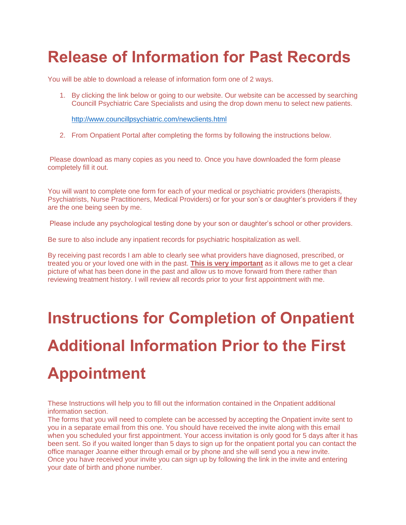## **Release of Information for Past Records**

You will be able to download a release of information form one of 2 ways.

1. By clicking the link below or going to our website. Our website can be accessed by searching Councill Psychiatric Care Specialists and using the drop down menu to select new patients.

<http://www.councillpsychiatric.com/newclients.html>

2. From Onpatient Portal after completing the forms by following the instructions below.

Please download as many copies as you need to. Once you have downloaded the form please completely fill it out.

You will want to complete one form for each of your medical or psychiatric providers (therapists, Psychiatrists, Nurse Practitioners, Medical Providers) or for your son's or daughter's providers if they are the one being seen by me.

Please include any psychological testing done by your son or daughter's school or other providers.

Be sure to also include any inpatient records for psychiatric hospitalization as well.

By receiving past records I am able to clearly see what providers have diagnosed, prescribed, or treated you or your loved one with in the past. **This is very important** as it allows me to get a clear picture of what has been done in the past and allow us to move forward from there rather than reviewing treatment history. I will review all records prior to your first appointment with me.

# **Instructions for Completion of Onpatient Additional Information Prior to the First Appointment**

These Instructions will help you to fill out the information contained in the Onpatient additional information section.

The forms that you will need to complete can be accessed by accepting the Onpatient invite sent to you in a separate email from this one. You should have received the invite along with this email when you scheduled your first appointment. Your access invitation is only good for 5 days after it has been sent. So if you waited longer than 5 days to sign up for the onpatient portal you can contact the office manager Joanne either through email or by phone and she will send you a new invite. Once you have received your invite you can sign up by following the link in the invite and entering your date of birth and phone number.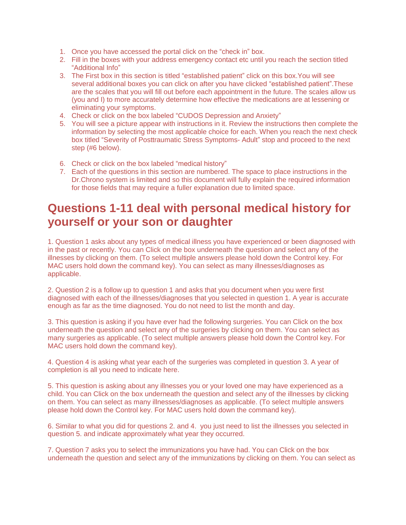- 1. Once you have accessed the portal click on the "check in" box.
- 2. Fill in the boxes with your address emergency contact etc until you reach the section titled "Additional Info"
- 3. The First box in this section is titled "established patient" click on this box.You will see several additional boxes you can click on after you have clicked "established patient".These are the scales that you will fill out before each appointment in the future. The scales allow us (you and I) to more accurately determine how effective the medications are at lessening or eliminating your symptoms.
- 4. Check or click on the box labeled "CUDOS Depression and Anxiety"
- 5. You will see a picture appear with instructions in it. Review the instructions then complete the information by selecting the most applicable choice for each. When you reach the next check box titled "Severity of Posttraumatic Stress Symptoms- Adult" stop and proceed to the next step (#6 below).
- 6. Check or click on the box labeled "medical history"
- 7. Each of the questions in this section are numbered. The space to place instructions in the Dr.Chrono system is limited and so this document will fully explain the required information for those fields that may require a fuller explanation due to limited space.

#### **Questions 1-11 deal with personal medical history for yourself or your son or daughter**

1. Question 1 asks about any types of medical illness you have experienced or been diagnosed with in the past or recently. You can Click on the box underneath the question and select any of the illnesses by clicking on them. (To select multiple answers please hold down the Control key. For MAC users hold down the command key). You can select as many illnesses/diagnoses as applicable.

2. Question 2 is a follow up to question 1 and asks that you document when you were first diagnosed with each of the illnesses/diagnoses that you selected in question 1. A year is accurate enough as far as the time diagnosed. You do not need to list the month and day.

3. This question is asking if you have ever had the following surgeries. You can Click on the box underneath the question and select any of the surgeries by clicking on them. You can select as many surgeries as applicable. (To select multiple answers please hold down the Control key. For MAC users hold down the command key).

4. Question 4 is asking what year each of the surgeries was completed in question 3. A year of completion is all you need to indicate here.

5. This question is asking about any illnesses you or your loved one may have experienced as a child. You can Click on the box underneath the question and select any of the illnesses by clicking on them. You can select as many illnesses/diagnoses as applicable. (To select multiple answers please hold down the Control key. For MAC users hold down the command key).

6. Similar to what you did for questions 2. and 4. you just need to list the illnesses you selected in question 5. and indicate approximately what year they occurred.

7. Question 7 asks you to select the immunizations you have had. You can Click on the box underneath the question and select any of the immunizations by clicking on them. You can select as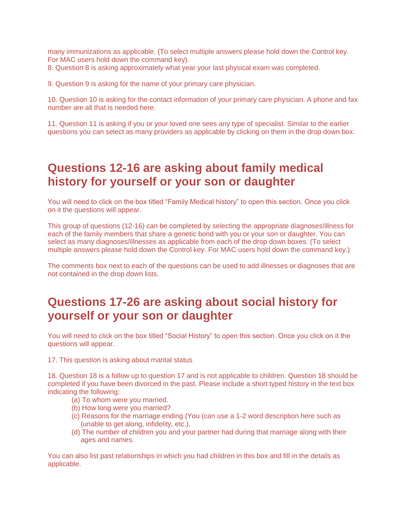many immunizations as applicable. (To select multiple answers please hold down the Control key. For MAC users hold down the command key).

8. Question 8 is asking approximately what year your last physical exam was completed.

9. Question 9 is asking for the name of your primary care physician.

10. Question 10 is asking for the contact information of your primary care physician. A phone and fax number are all that is needed here.

11. Question 11 is asking if you or your loved one sees any type of specialist. Similar to the earlier questions you can select as many providers as applicable by clicking on them in the drop down box.

#### **Questions 12-16 are asking about family medical history for yourself or your son or daughter**

You will need to click on the box titled "Family Medical history" to open this section. Once you click on it the questions will appear.

This group of questions (12-16) can be completed by selecting the appropriate diagnoses/illness for each of the family members that share a genetic bond with you or your son or daughter. You can select as many diagnoses/illnesses as applicable from each of the drop down boxes. (To select multiple answers please hold down the Control key. For MAC users hold down the command key.)

The comments box next to each of the questions can be used to add illnesses or diagnoses that are not contained in the drop down lists.

#### **Questions 17-26 are asking about social history for yourself or your son or daughter**

You will need to click on the box titled "Social History" to open this section. Once you click on it the questions will appear.

17. This question is asking about marital status

18. Question 18 is a follow up to question 17 and is not applicable to children. Question 18 should be completed if you have been divorced in the past. Please include a short typed history in the text box indicating the following;

- (a) To whom were you married.
- (b) How long were you married?
- (c) Reasons for the marriage ending (You (can use a 1-2 word description here such as (unable to get along, infidelity, etc.),
- (d) The number of children you and your partner had during that marriage along with their ages and names.

You can also list past relationships in which you had children in this box and fill in the details as applicable.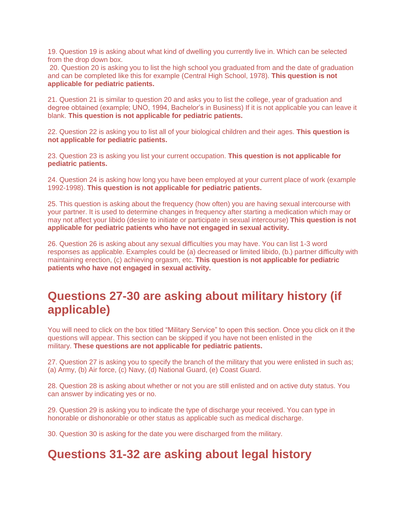19. Question 19 is asking about what kind of dwelling you currently live in. Which can be selected from the drop down box.

20. Question 20 is asking you to list the high school you graduated from and the date of graduation and can be completed like this for example (Central High School, 1978). **This question is not applicable for pediatric patients.**

21. Question 21 is similar to question 20 and asks you to list the college, year of graduation and degree obtained (example; UNO, 1994, Bachelor's in Business) If it is not applicable you can leave it blank. **This question is not applicable for pediatric patients.**

22. Question 22 is asking you to list all of your biological children and their ages. **This question is not applicable for pediatric patients.**

23. Question 23 is asking you list your current occupation. **This question is not applicable for pediatric patients.**

24. Question 24 is asking how long you have been employed at your current place of work (example 1992-1998). **This question is not applicable for pediatric patients.**

25. This question is asking about the frequency (how often) you are having sexual intercourse with your partner. It is used to determine changes in frequency after starting a medication which may or may not affect your libido (desire to initiate or participate in sexual intercourse) **This question is not applicable for pediatric patients who have not engaged in sexual activity.**

26. Question 26 is asking about any sexual difficulties you may have. You can list 1-3 word responses as applicable. Examples could be (a) decreased or limited libido, (b.) partner difficulty with maintaining erection, (c) achieving orgasm, etc. **This question is not applicable for pediatric patients who have not engaged in sexual activity.**

#### **Questions 27-30 are asking about military history (if applicable)**

You will need to click on the box titled "Military Service" to open this section. Once you click on it the questions will appear. This section can be skipped if you have not been enlisted in the military. **These questions are not applicable for pediatric patients.**

27. Question 27 is asking you to specify the branch of the military that you were enlisted in such as; (a) Army, (b) Air force, (c) Navy, (d) National Guard, (e) Coast Guard.

28. Question 28 is asking about whether or not you are still enlisted and on active duty status. You can answer by indicating yes or no.

29. Question 29 is asking you to indicate the type of discharge your received. You can type in honorable or dishonorable or other status as applicable such as medical discharge.

30. Question 30 is asking for the date you were discharged from the military.

#### **Questions 31-32 are asking about legal history**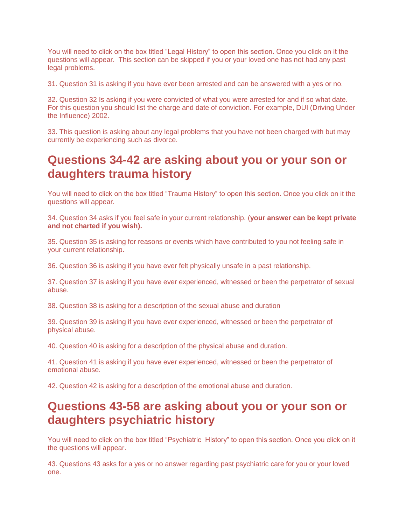You will need to click on the box titled "Legal History" to open this section. Once you click on it the questions will appear. This section can be skipped if you or your loved one has not had any past legal problems.

31. Question 31 is asking if you have ever been arrested and can be answered with a yes or no.

32. Question 32 Is asking if you were convicted of what you were arrested for and if so what date. For this question you should list the charge and date of conviction. For example, DUI (Driving Under the Influence) 2002.

33. This question is asking about any legal problems that you have not been charged with but may currently be experiencing such as divorce.

#### **Questions 34-42 are asking about you or your son or daughters trauma history**

You will need to click on the box titled "Trauma History" to open this section. Once you click on it the questions will appear.

34. Question 34 asks if you feel safe in your current relationship. (**your answer can be kept private and not charted if you wish).**

35. Question 35 is asking for reasons or events which have contributed to you not feeling safe in your current relationship.

36. Question 36 is asking if you have ever felt physically unsafe in a past relationship.

37. Question 37 is asking if you have ever experienced, witnessed or been the perpetrator of sexual abuse.

38. Question 38 is asking for a description of the sexual abuse and duration

39. Question 39 is asking if you have ever experienced, witnessed or been the perpetrator of physical abuse.

40. Question 40 is asking for a description of the physical abuse and duration.

41. Question 41 is asking if you have ever experienced, witnessed or been the perpetrator of emotional abuse.

42. Question 42 is asking for a description of the emotional abuse and duration.

#### **Questions 43-58 are asking about you or your son or daughters psychiatric history**

You will need to click on the box titled "Psychiatric History" to open this section. Once you click on it the questions will appear.

43. Questions 43 asks for a yes or no answer regarding past psychiatric care for you or your loved one.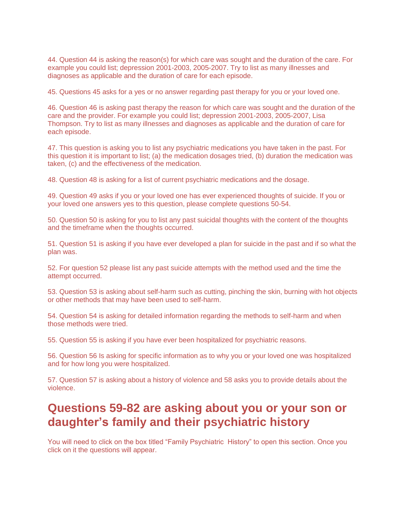44. Question 44 is asking the reason(s) for which care was sought and the duration of the care. For example you could list; depression 2001-2003, 2005-2007. Try to list as many illnesses and diagnoses as applicable and the duration of care for each episode.

45. Questions 45 asks for a yes or no answer regarding past therapy for you or your loved one.

46. Question 46 is asking past therapy the reason for which care was sought and the duration of the care and the provider. For example you could list; depression 2001-2003, 2005-2007, Lisa Thompson. Try to list as many illnesses and diagnoses as applicable and the duration of care for each episode.

47. This question is asking you to list any psychiatric medications you have taken in the past. For this question it is important to list; (a) the medication dosages tried, (b) duration the medication was taken, (c) and the effectiveness of the medication.

48. Question 48 is asking for a list of current psychiatric medications and the dosage.

49. Question 49 asks if you or your loved one has ever experienced thoughts of suicide. If you or your loved one answers yes to this question, please complete questions 50-54.

50. Question 50 is asking for you to list any past suicidal thoughts with the content of the thoughts and the timeframe when the thoughts occurred.

51. Question 51 is asking if you have ever developed a plan for suicide in the past and if so what the plan was.

52. For question 52 please list any past suicide attempts with the method used and the time the attempt occurred.

53. Question 53 is asking about self-harm such as cutting, pinching the skin, burning with hot objects or other methods that may have been used to self-harm.

54. Question 54 is asking for detailed information regarding the methods to self-harm and when those methods were tried.

55. Question 55 is asking if you have ever been hospitalized for psychiatric reasons.

56. Question 56 Is asking for specific information as to why you or your loved one was hospitalized and for how long you were hospitalized.

57. Question 57 is asking about a history of violence and 58 asks you to provide details about the violence.

#### **Questions 59-82 are asking about you or your son or daughter's family and their psychiatric history**

You will need to click on the box titled "Family Psychiatric History" to open this section. Once you click on it the questions will appear.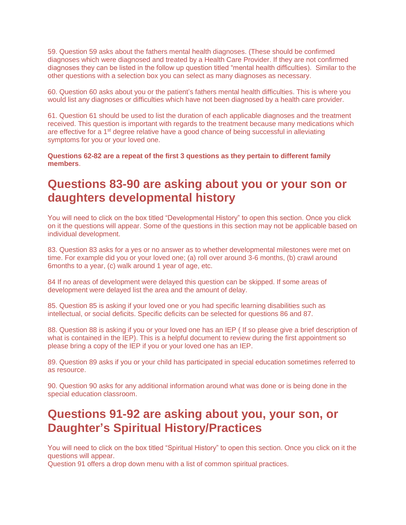59. Question 59 asks about the fathers mental health diagnoses. (These should be confirmed diagnoses which were diagnosed and treated by a Health Care Provider. If they are not confirmed diagnoses they can be listed in the follow up question titled "mental health difficulties). Similar to the other questions with a selection box you can select as many diagnoses as necessary.

60. Question 60 asks about you or the patient's fathers mental health difficulties. This is where you would list any diagnoses or difficulties which have not been diagnosed by a health care provider.

61. Question 61 should be used to list the duration of each applicable diagnoses and the treatment received. This question is important with regards to the treatment because many medications which are effective for a 1st degree relative have a good chance of being successful in alleviating symptoms for you or your loved one.

**Questions 62-82 are a repeat of the first 3 questions as they pertain to different family members**.

#### **Questions 83-90 are asking about you or your son or daughters developmental history**

You will need to click on the box titled "Developmental History" to open this section. Once you click on it the questions will appear. Some of the questions in this section may not be applicable based on individual development.

83. Question 83 asks for a yes or no answer as to whether developmental milestones were met on time. For example did you or your loved one; (a) roll over around 3-6 months, (b) crawl around 6months to a year, (c) walk around 1 year of age, etc.

84 If no areas of development were delayed this question can be skipped. If some areas of development were delayed list the area and the amount of delay.

85. Question 85 is asking if your loved one or you had specific learning disabilities such as intellectual, or social deficits. Specific deficits can be selected for questions 86 and 87.

88. Question 88 is asking if you or your loved one has an IEP ( If so please give a brief description of what is contained in the IEP). This is a helpful document to review during the first appointment so please bring a copy of the IEP if you or your loved one has an IEP.

89. Question 89 asks if you or your child has participated in special education sometimes referred to as resource.

90. Question 90 asks for any additional information around what was done or is being done in the special education classroom.

#### **Questions 91-92 are asking about you, your son, or Daughter's Spiritual History/Practices**

You will need to click on the box titled "Spiritual History" to open this section. Once you click on it the questions will appear.

Question 91 offers a drop down menu with a list of common spiritual practices.